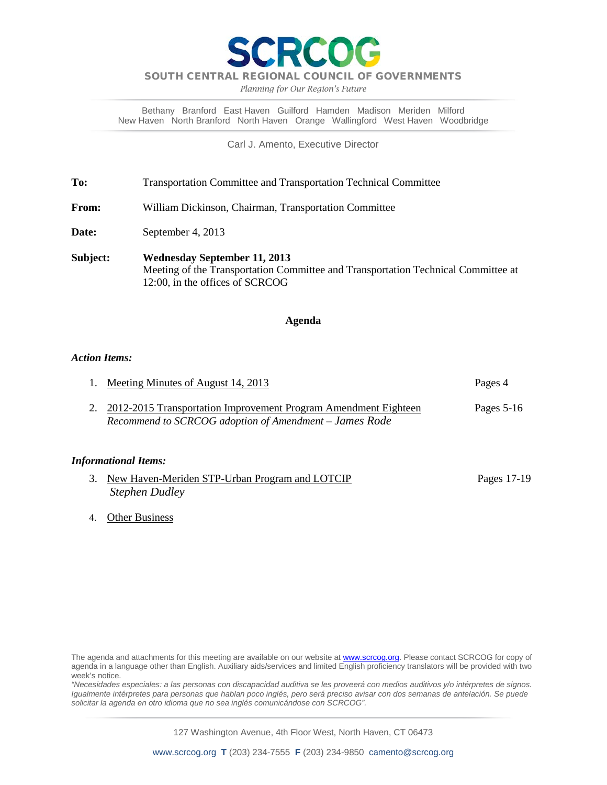

*Planning for Our Region's Future*

Bethany Branford East Haven Guilford Hamden Madison Meriden Milford New Haven North Branford North Haven Orange Wallingford West Haven Woodbridge

Carl J. Amento, Executive Director

**To:** Transportation Committee and Transportation Technical Committee

**From:** William Dickinson, Chairman, Transportation Committee

Date: September 4, 2013

**Subject: Wednesday September 11, 2013** Meeting of the Transportation Committee and Transportation Technical Committee at 12:00, in the offices of SCRCOG

#### **Agenda**

#### *Action Items:*

| 1. Meeting Minutes of August 14, 2013                              | Pages 4    |
|--------------------------------------------------------------------|------------|
| 2. 2012-2015 Transportation Improvement Program Amendment Eighteen | Pages 5-16 |
| Recommend to SCRCOG adoption of Amendment - James Rode             |            |

#### *Informational Items:*

| 3. New Haven-Meriden STP-Urban Program and LOTCIP | Pages 17-19 |
|---------------------------------------------------|-------------|
| <b>Stephen Dudley</b>                             |             |

4. Other Business

*"Necesidades especiales: a las personas con discapacidad auditiva se les proveerá con medios auditivos y/o intérpretes de signos. Igualmente intérpretes para personas que hablan poco inglés, pero será preciso avisar con dos semanas de antelación. Se puede solicitar la agenda en otro idioma que no sea inglés comunicándose con SCRCOG".*

127 Washington Avenue, 4th Floor West, North Haven, CT 06473

The agenda and attachments for this meeting are available on our website at **www.scrcog.org**. Please contact SCRCOG for copy of agenda in a language other than English. Auxiliary aids/services and limited English proficiency translators will be provided with two week's notice.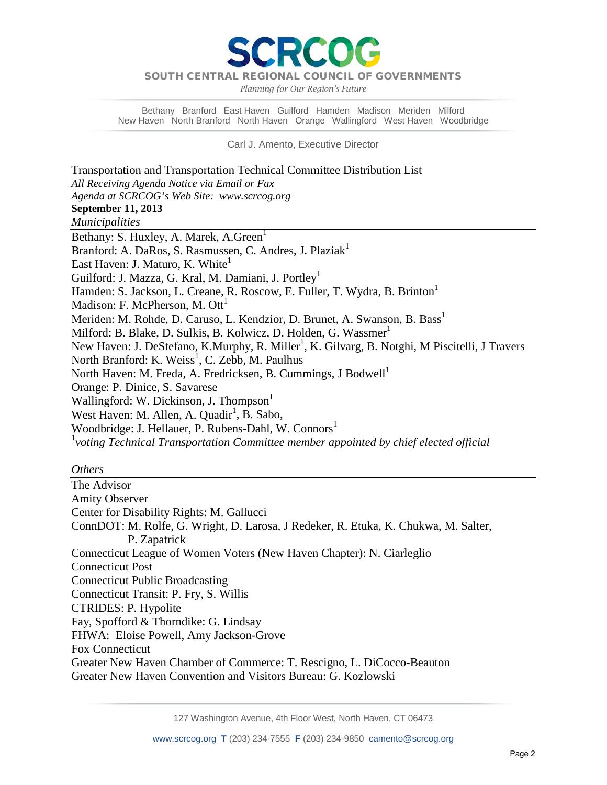PCC

*Planning for Our Region's Future*

Bethany Branford East Haven Guilford Hamden Madison Meriden Milford New Haven North Branford North Haven Orange Wallingford West Haven Woodbridge

Carl J. Amento, Executive Director

Transportation and Transportation Technical Committee Distribution List *All Receiving Agenda Notice via Email or Fax Agenda at SCRCOG's Web Site: www.scrcog.org*  **September 11, 2013** *Municipalities*  Bethany: S. Huxley, A. Marek, A. Green<sup>1</sup> Branford: A. DaRos, S. Rasmussen, C. Andres, J. Plaziak<sup>1</sup> East Haven: J. Maturo, K. White<sup>1</sup> Guilford: J. Mazza, G. Kral, M. Damiani, J. Portley<sup>1</sup> Hamden: S. Jackson, L. Creane, R. Roscow, E. Fuller, T. Wydra, B. Brinton<sup>1</sup> Madison: F. McPherson, M.  $\text{Out}^1$ Meriden: M. Rohde, D. Caruso, L. Kendzior, D. Brunet, A. Swanson, B. Bass<sup>1</sup> Milford: B. Blake, D. Sulkis, B. Kolwicz, D. Holden, G. Wassmer<sup>1</sup> New Haven: J. DeStefano, K.Murphy, R. Miller<sup>1</sup>, K. Gilvarg, B. Notghi, M Piscitelli, J Travers North Branford: K. Weiss<sup>1</sup>, C. Zebb, M. Paulhus North Haven: M. Freda, A. Fredricksen, B. Cummings, J Bodwell<sup>1</sup> Orange: P. Dinice, S. Savarese Wallingford: W. Dickinson, J. Thompson<sup>1</sup> West Haven: M. Allen, A. Quadir<sup>1</sup>, B. Sabo, Woodbridge: J. Hellauer, P. Rubens-Dahl, W. Connors<sup>1</sup> 1 *voting Technical Transportation Committee member appointed by chief elected official*

#### *Others*

The Advisor Amity Observer Center for Disability Rights: M. Gallucci ConnDOT: M. Rolfe, G. Wright, D. Larosa, J Redeker, R. Etuka, K. Chukwa, M. Salter, P. Zapatrick Connecticut League of Women Voters (New Haven Chapter): N. Ciarleglio Connecticut Post Connecticut Public Broadcasting Connecticut Transit: P. Fry, S. Willis CTRIDES: P. Hypolite Fay, Spofford & Thorndike: G. Lindsay FHWA: Eloise Powell, Amy Jackson-Grove Fox Connecticut Greater New Haven Chamber of Commerce: T. Rescigno, L. DiCocco-Beauton Greater New Haven Convention and Visitors Bureau: G. Kozlowski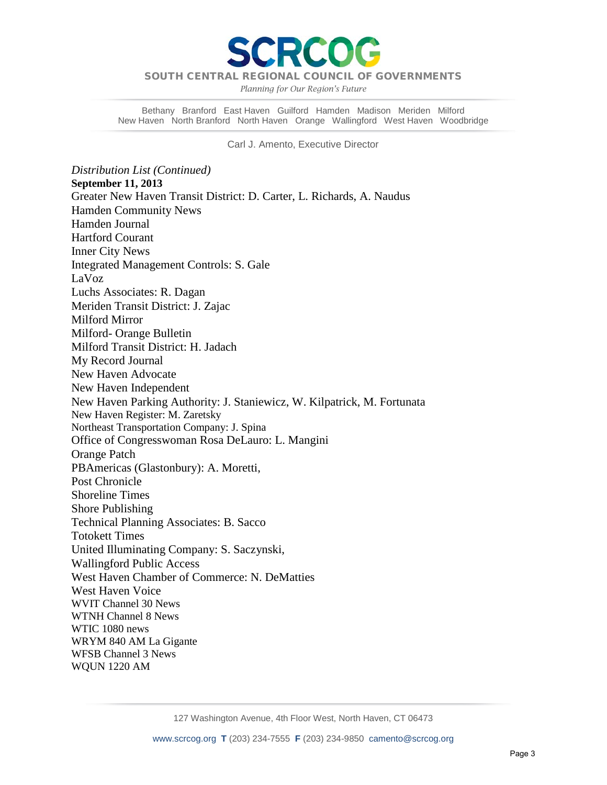

*Planning for Our Region's Future*

Bethany Branford East Haven Guilford Hamden Madison Meriden Milford New Haven North Branford North Haven Orange Wallingford West Haven Woodbridge

Carl J. Amento, Executive Director

*Distribution List (Continued)* **September 11, 2013** Greater New Haven Transit District: D. Carter, L. Richards, A. Naudus Hamden Community News Hamden Journal Hartford Courant Inner City News Integrated Management Controls: S. Gale LaVoz Luchs Associates: R. Dagan Meriden Transit District: J. Zajac Milford Mirror Milford- Orange Bulletin Milford Transit District: H. Jadach My Record Journal New Haven Advocate New Haven Independent New Haven Parking Authority: J. Staniewicz, W. Kilpatrick, M. Fortunata New Haven Register: M. Zaretsky Northeast Transportation Company: J. Spina Office of Congresswoman Rosa DeLauro: L. Mangini Orange Patch PBAmericas (Glastonbury): A. Moretti, Post Chronicle Shoreline Times Shore Publishing Technical Planning Associates: B. Sacco Totokett Times United Illuminating Company: S. Saczynski, Wallingford Public Access West Haven Chamber of Commerce: N. DeMatties West Haven Voice WVIT Channel 30 News WTNH Channel 8 News WTIC 1080 news WRYM 840 AM La Gigante WFSB Channel 3 News WQUN 1220 AM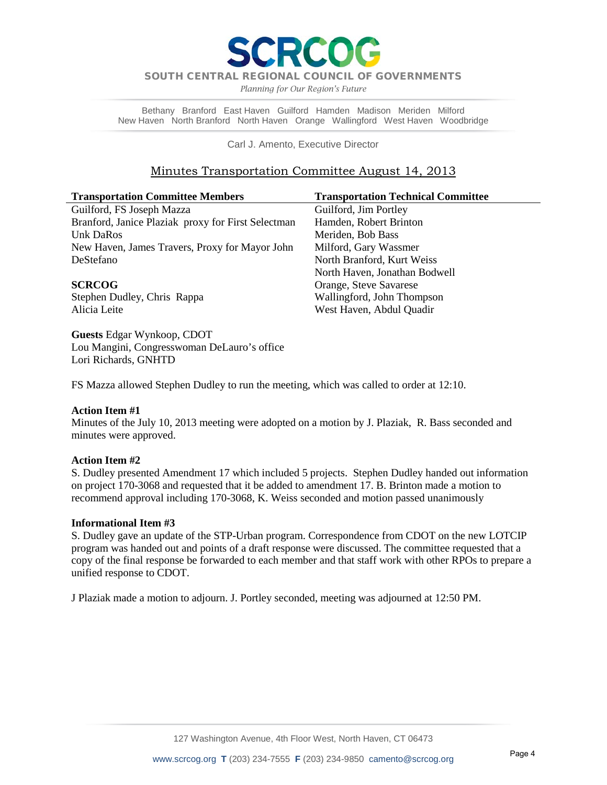

*Planning for Our Region's Future*

Bethany Branford East Haven Guilford Hamden Madison Meriden Milford New Haven North Branford North Haven Orange Wallingford West Haven Woodbridge

Carl J. Amento, Executive Director

#### Minutes Transportation Committee August 14, 2013

| <b>Transportation Committee Members</b>            | <b>Transportation Technical Committee</b> |
|----------------------------------------------------|-------------------------------------------|
| Guilford, FS Joseph Mazza                          | Guilford, Jim Portley                     |
| Branford, Janice Plaziak proxy for First Selectman | Hamden, Robert Brinton                    |
| Unk DaRos                                          | Meriden, Bob Bass                         |
| New Haven, James Travers, Proxy for Mayor John     | Milford, Gary Wassmer                     |
| DeStefano                                          | North Branford, Kurt Weiss                |
|                                                    | North Haven, Jonathan Bodwell             |
| <b>SCRCOG</b>                                      | Orange, Steve Savarese                    |
| Stephen Dudley, Chris Rappa                        | Wallingford, John Thompson                |
| Alicia Leite                                       | West Haven, Abdul Quadir                  |

**Guests** Edgar Wynkoop, CDOT Lou Mangini, Congresswoman DeLauro's office Lori Richards, GNHTD

FS Mazza allowed Stephen Dudley to run the meeting, which was called to order at 12:10.

#### **Action Item #1**

Minutes of the July 10, 2013 meeting were adopted on a motion by J. Plaziak, R. Bass seconded and minutes were approved.

#### **Action Item #2**

S. Dudley presented Amendment 17 which included 5 projects.Stephen Dudley handed out information on project 170-3068 and requested that it be added to amendment 17. B. Brinton made a motion to recommend approval including 170-3068, K. Weiss seconded and motion passed unanimously

#### **Informational Item #3**

S. Dudley gave an update of the STP-Urban program. Correspondence from CDOT on the new LOTCIP program was handed out and points of a draft response were discussed. The committee requested that a copy of the final response be forwarded to each member and that staff work with other RPOs to prepare a unified response to CDOT.

J Plaziak made a motion to adjourn. J. Portley seconded, meeting was adjourned at 12:50 PM.

127 Washington Avenue, 4th Floor West, North Haven, CT 06473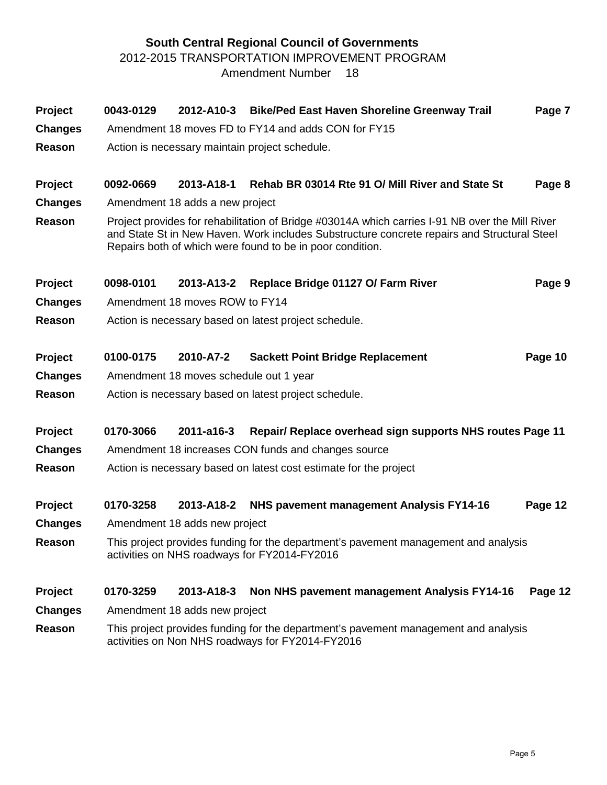### **South Central Regional Council of Governments** 2012-2015 TRANSPORTATION IMPROVEMENT PROGRAM Amendment Number 18

| Project<br><b>Changes</b><br>Reason | 0043-0129 |                                        | 2012-A10-3 Bike/Ped East Haven Shoreline Greenway Trail<br>Amendment 18 moves FD to FY14 and adds CON for FY15<br>Action is necessary maintain project schedule.                                                                                            | Page 7  |
|-------------------------------------|-----------|----------------------------------------|-------------------------------------------------------------------------------------------------------------------------------------------------------------------------------------------------------------------------------------------------------------|---------|
| Project                             | 0092-0669 | 2013-A18-1                             | Rehab BR 03014 Rte 91 O/ Mill River and State St                                                                                                                                                                                                            | Page 8  |
| <b>Changes</b>                      |           | Amendment 18 adds a new project        |                                                                                                                                                                                                                                                             |         |
| Reason                              |           |                                        | Project provides for rehabilitation of Bridge #03014A which carries I-91 NB over the Mill River<br>and State St in New Haven. Work includes Substructure concrete repairs and Structural Steel<br>Repairs both of which were found to be in poor condition. |         |
| Project                             | 0098-0101 | 2013-A13-2                             | Replace Bridge 01127 O/ Farm River                                                                                                                                                                                                                          | Page 9  |
| <b>Changes</b>                      |           | Amendment 18 moves ROW to FY14         |                                                                                                                                                                                                                                                             |         |
| Reason                              |           |                                        | Action is necessary based on latest project schedule.                                                                                                                                                                                                       |         |
| Project                             | 0100-0175 | 2010-A7-2                              | <b>Sackett Point Bridge Replacement</b>                                                                                                                                                                                                                     | Page 10 |
| <b>Changes</b>                      |           | Amendment 18 moves schedule out 1 year |                                                                                                                                                                                                                                                             |         |
| Reason                              |           |                                        | Action is necessary based on latest project schedule.                                                                                                                                                                                                       |         |
| Project                             | 0170-3066 | 2011-a16-3                             | Repair/ Replace overhead sign supports NHS routes Page 11                                                                                                                                                                                                   |         |
| <b>Changes</b>                      |           |                                        | Amendment 18 increases CON funds and changes source                                                                                                                                                                                                         |         |
| Reason                              |           |                                        | Action is necessary based on latest cost estimate for the project                                                                                                                                                                                           |         |
| Project                             | 0170-3258 | 2013-A18-2                             | NHS pavement management Analysis FY14-16                                                                                                                                                                                                                    | Page 12 |
| <b>Changes</b>                      |           | Amendment 18 adds new project          |                                                                                                                                                                                                                                                             |         |
| Reason                              |           |                                        | This project provides funding for the department's pavement management and analysis<br>activities on NHS roadways for FY2014-FY2016                                                                                                                         |         |
| Project                             | 0170-3259 | 2013-A18-3                             | Non NHS pavement management Analysis FY14-16                                                                                                                                                                                                                | Page 12 |
| <b>Changes</b>                      |           | Amendment 18 adds new project          |                                                                                                                                                                                                                                                             |         |
| Reason                              |           |                                        | This project provides funding for the department's pavement management and analysis<br>activities on Non NHS roadways for FY2014-FY2016                                                                                                                     |         |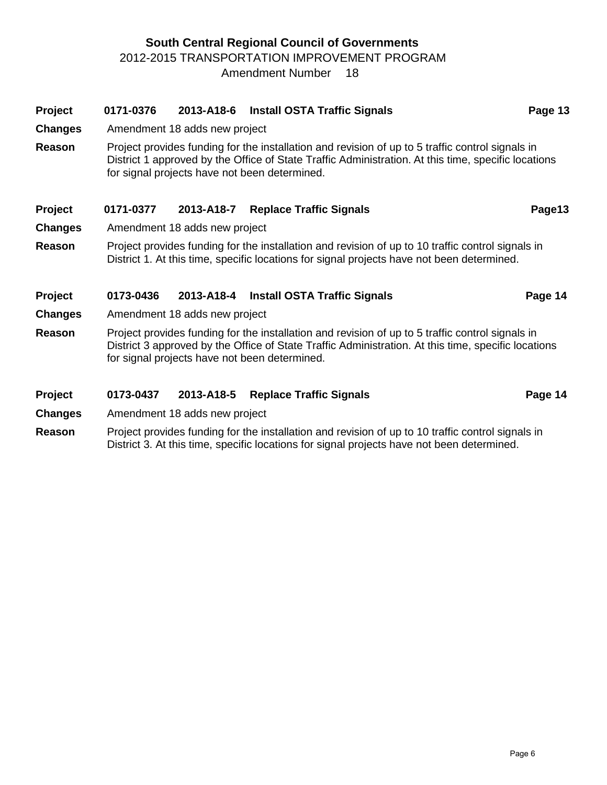#### **South Central Regional Council of Governments** 2012-2015 TRANSPORTATION IMPROVEMENT PROGRAM Amendment Number 18

# **Project 0171-0376 2013-A18-6 Install OSTA Traffic Signals Page 13 Page 13** District 1 approved by the Office of State Traffic Administration. At this time, specific locations for signal projects have not been determined. Project 0171-0377 2013-A18-7 Replace Traffic Signals Page13 **Reason** Project provides funding for the installation and revision of up to 10 traffic control signals in District 1. At this time, specific locations for signal projects have not been determined. **Project 0173-0436 2013-A18-4 Install OSTA Traffic Signals Page 14 Page 14 Changes** Amendment 18 adds new project **Reason** Project provides funding for the installation and revision of up to 5 traffic control signals in District 3 approved by the Office of State Traffic Administration. At this time, specific locations for signal projects have not been determined.

#### **Project 0173-0437 2013-A18-5 Replace Traffic Signals Page 14**

**Changes** Amendment 18 adds new project

**Reason** Project provides funding for the installation and revision of up to 10 traffic control signals in District 3. At this time, specific locations for signal projects have not been determined.

- **Changes** Amendment 18 adds new project
- **Reason** Project provides funding for the installation and revision of up to 5 traffic control signals in

- 
- **Changes** Amendment 18 adds new project
-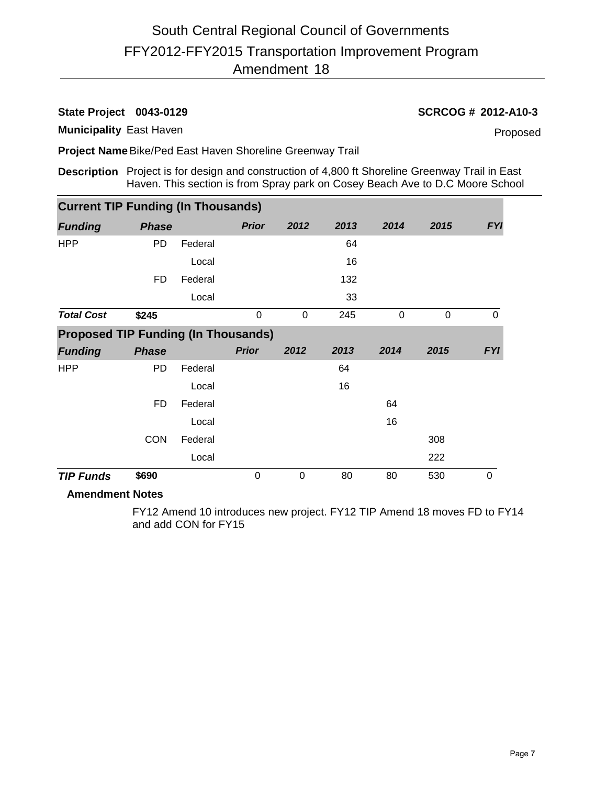# FFY2012-FFY2015 Transportation Improvement Program Amendment 18 South Central Regional Council of Governments

**Municipality** East Haven

**State Project 0043-0129 SCRCOG # 2012-A10-3**

Proposed

**Project Name**Bike/Ped East Haven Shoreline Greenway Trail

**Description** Project is for design and construction of 4,800 ft Shoreline Greenway Trail in East Haven. This section is from Spray park on Cosey Beach Ave to D.C Moore School

| <b>Current TIP Funding (In Thousands)</b>  |              |         |              |      |      |      |             |             |
|--------------------------------------------|--------------|---------|--------------|------|------|------|-------------|-------------|
| <b>Funding</b>                             | <b>Phase</b> |         | <b>Prior</b> | 2012 | 2013 | 2014 | 2015        | <b>FYI</b>  |
| <b>HPP</b>                                 | <b>PD</b>    | Federal |              |      | 64   |      |             |             |
|                                            |              | Local   |              |      | 16   |      |             |             |
|                                            | <b>FD</b>    | Federal |              |      | 132  |      |             |             |
|                                            |              | Local   |              |      | 33   |      |             |             |
| <b>Total Cost</b>                          | \$245        |         | 0            | 0    | 245  | 0    | $\mathbf 0$ | $\mathbf 0$ |
| <b>Proposed TIP Funding (In Thousands)</b> |              |         |              |      |      |      |             |             |
|                                            |              |         |              |      |      |      |             |             |
| <b>Funding</b>                             | <b>Phase</b> |         | <b>Prior</b> | 2012 | 2013 | 2014 | 2015        | <b>FYI</b>  |
| <b>HPP</b>                                 | <b>PD</b>    | Federal |              |      | 64   |      |             |             |
|                                            |              | Local   |              |      | 16   |      |             |             |
|                                            | FD           | Federal |              |      |      | 64   |             |             |
|                                            |              | Local   |              |      |      | 16   |             |             |
|                                            | <b>CON</b>   | Federal |              |      |      |      | 308         |             |
|                                            |              | Local   |              |      |      |      | 222         |             |

#### **Amendment Notes**

FY12 Amend 10 introduces new project. FY12 TIP Amend 18 moves FD to FY14 and add CON for FY15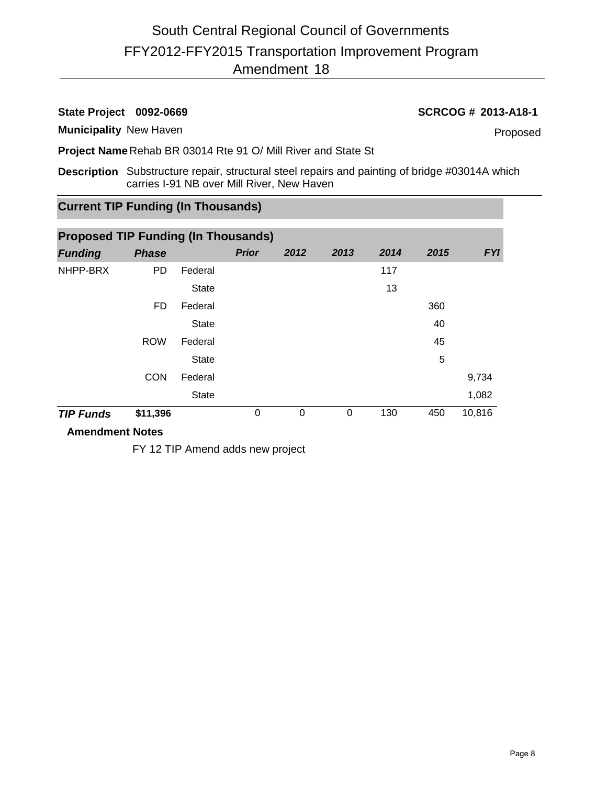### **State Project 0092-0669 SCRCOG # 2013-A18-1**

#### **Municipality** New Haven

Proposed

**Project Name** Rehab BR 03014 Rte 91 O/ Mill River and State St

**Description** Substructure repair, structural steel repairs and painting of bridge #03014A which carries I-91 NB over Mill River, New Haven

# **Current TIP Funding (In Thousands)**

| <b>Proposed TIP Funding (In Thousands)</b> |              |              |              |          |          |      |      |            |  |  |  |
|--------------------------------------------|--------------|--------------|--------------|----------|----------|------|------|------------|--|--|--|
| <b>Funding</b>                             | <b>Phase</b> |              | <b>Prior</b> | 2012     | 2013     | 2014 | 2015 | <b>FYI</b> |  |  |  |
| NHPP-BRX                                   | <b>PD</b>    | Federal      |              |          |          | 117  |      |            |  |  |  |
|                                            |              | <b>State</b> |              |          |          | 13   |      |            |  |  |  |
|                                            | FD.          | Federal      |              |          |          |      | 360  |            |  |  |  |
|                                            |              | <b>State</b> |              |          |          |      | 40   |            |  |  |  |
|                                            | <b>ROW</b>   | Federal      |              |          |          |      | 45   |            |  |  |  |
|                                            |              | <b>State</b> |              |          |          |      | 5    |            |  |  |  |
|                                            | <b>CON</b>   | Federal      |              |          |          |      |      | 9,734      |  |  |  |
|                                            |              | <b>State</b> |              |          |          |      |      | 1,082      |  |  |  |
| <b>TIP Funds</b>                           | \$11,396     |              | $\Omega$     | $\Omega$ | $\Omega$ | 130  | 450  | 10,816     |  |  |  |

#### **Amendment Notes**

FY 12 TIP Amend adds new project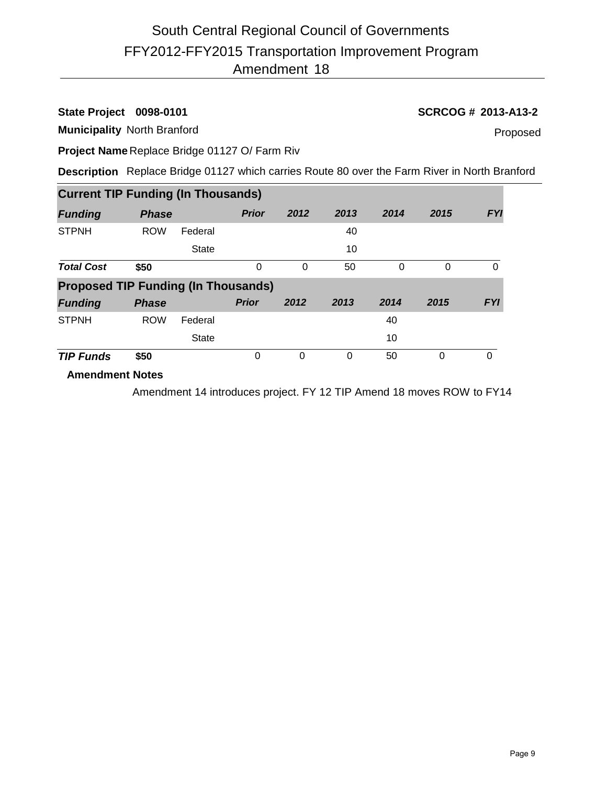# FFY2012-FFY2015 Transportation Improvement Program Amendment 18 South Central Regional Council of Governments

#### **State Project 0098-0101 SCRCOG # 2013-A13-2**

**Municipality** North Branford

Proposed

**Project Name** Replace Bridge 01127 O/ Farm Riv

**Description** Replace Bridge 01127 which carries Route 80 over the Farm River in North Branford

| <b>Current TIP Funding (In Thousands)</b>  |              |              |              |          |      |      |      |            |
|--------------------------------------------|--------------|--------------|--------------|----------|------|------|------|------------|
| <b>Funding</b>                             | <b>Phase</b> |              | <b>Prior</b> | 2012     | 2013 | 2014 | 2015 | <b>FYI</b> |
| <b>STPNH</b>                               | <b>ROW</b>   | Federal      |              |          | 40   |      |      |            |
|                                            |              | <b>State</b> |              |          | 10   |      |      |            |
| <b>Total Cost</b>                          | \$50         |              | 0            | $\Omega$ | 50   | 0    | 0    | 0          |
| <b>Proposed TIP Funding (In Thousands)</b> |              |              |              |          |      |      |      |            |
| <b>Funding</b>                             | <b>Phase</b> |              | <b>Prior</b> | 2012     | 2013 | 2014 | 2015 | <b>FYI</b> |
| <b>STPNH</b>                               | <b>ROW</b>   | Federal      |              |          |      | 40   |      |            |
|                                            |              | <b>State</b> |              |          |      | 10   |      |            |
| <b>TIP Funds</b>                           | \$50         |              | 0            | $\Omega$ | 0    | 50   | 0    | 0          |

#### **Amendment Notes**

Amendment 14 introduces project. FY 12 TIP Amend 18 moves ROW to FY14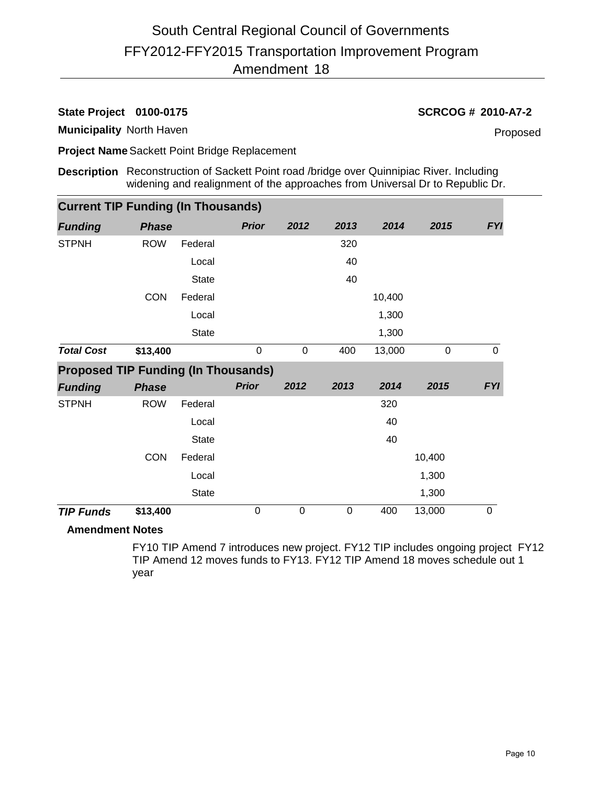**State Project 0100-0175 SCRCOG # 2010-A7-2**

**Municipality** North Haven

Proposed

**Project Name**Sackett Point Bridge Replacement

**Description** Reconstruction of Sackett Point road /bridge over Quinnipiac River. Including widening and realignment of the approaches from Universal Dr to Republic Dr.

| <b>Current TIP Funding (In Thousands)</b> |              |                                            |             |      |        |             |            |  |  |  |
|-------------------------------------------|--------------|--------------------------------------------|-------------|------|--------|-------------|------------|--|--|--|
| <b>Phase</b>                              |              | <b>Prior</b>                               | 2012        | 2013 | 2014   | 2015        | <b>FYI</b> |  |  |  |
| <b>ROW</b>                                | Federal      |                                            |             | 320  |        |             |            |  |  |  |
|                                           | Local        |                                            |             | 40   |        |             |            |  |  |  |
|                                           | <b>State</b> |                                            |             | 40   |        |             |            |  |  |  |
| <b>CON</b>                                | Federal      |                                            |             |      | 10,400 |             |            |  |  |  |
|                                           | Local        |                                            |             |      | 1,300  |             |            |  |  |  |
|                                           | <b>State</b> |                                            |             |      | 1,300  |             |            |  |  |  |
| \$13,400                                  |              | $\boldsymbol{0}$                           | $\mathbf 0$ | 400  | 13,000 | $\mathbf 0$ | $\Omega$   |  |  |  |
|                                           |              |                                            |             |      |        |             |            |  |  |  |
|                                           |              | <b>Proposed TIP Funding (In Thousands)</b> |             |      |        |             |            |  |  |  |
| <b>Phase</b>                              |              | <b>Prior</b>                               | 2012        | 2013 | 2014   | 2015        |            |  |  |  |
| <b>ROW</b>                                | Federal      |                                            |             |      | 320    |             |            |  |  |  |
|                                           | Local        |                                            |             |      | 40     |             | <b>FYI</b> |  |  |  |
|                                           | <b>State</b> |                                            |             |      | 40     |             |            |  |  |  |
| <b>CON</b>                                | Federal      |                                            |             |      |        | 10,400      |            |  |  |  |
|                                           | Local        |                                            |             |      |        | 1,300       |            |  |  |  |
|                                           | State        |                                            |             |      |        | 1,300       |            |  |  |  |
|                                           |              |                                            |             |      |        |             |            |  |  |  |

#### **Amendment Notes**

FY10 TIP Amend 7 introduces new project. FY12 TIP includes ongoing project FY12 TIP Amend 12 moves funds to FY13. FY12 TIP Amend 18 moves schedule out 1 year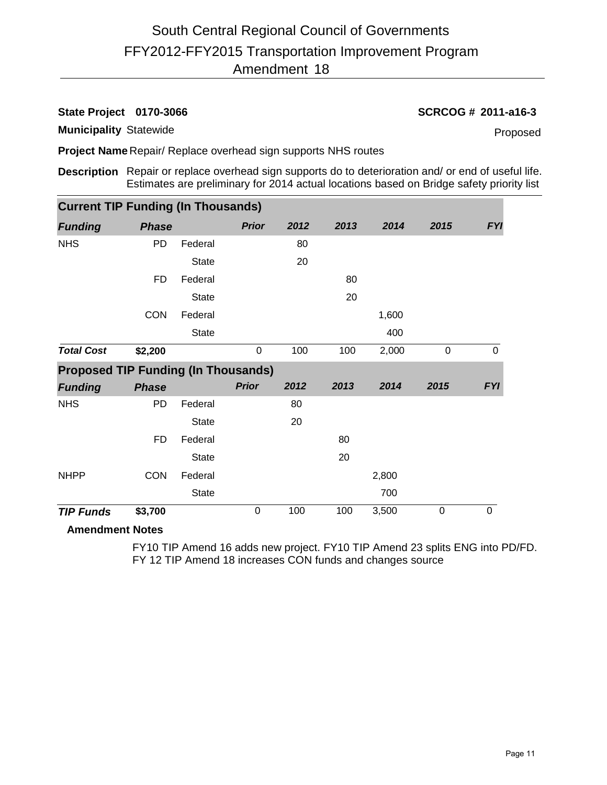**Municipality** Statewide

**State Project 0170-3066 SCRCOG # 2011-a16-3**

Proposed

**Project Name** Repair/ Replace overhead sign supports NHS routes

**Description** Repair or replace overhead sign supports do to deterioration and/ or end of useful life. Estimates are preliminary for 2014 actual locations based on Bridge safety priority list

| <b>Current TIP Funding (In Thousands)</b>  |              |              |              |      |      |       |             |             |
|--------------------------------------------|--------------|--------------|--------------|------|------|-------|-------------|-------------|
| <b>Funding</b>                             | <b>Phase</b> |              | <b>Prior</b> | 2012 | 2013 | 2014  | 2015        | <b>FYI</b>  |
| <b>NHS</b>                                 | <b>PD</b>    | Federal      |              | 80   |      |       |             |             |
|                                            |              | <b>State</b> |              | 20   |      |       |             |             |
|                                            | <b>FD</b>    | Federal      |              |      | 80   |       |             |             |
|                                            |              | <b>State</b> |              |      | 20   |       |             |             |
|                                            | <b>CON</b>   | Federal      |              |      |      | 1,600 |             |             |
|                                            |              | <b>State</b> |              |      |      | 400   |             |             |
| <b>Total Cost</b>                          | \$2,200      |              | $\mathbf 0$  | 100  | 100  | 2,000 | $\mathbf 0$ | $\mathbf 0$ |
| <b>Proposed TIP Funding (In Thousands)</b> |              |              |              |      |      |       |             |             |
| <b>Funding</b>                             | <b>Phase</b> |              | <b>Prior</b> | 2012 | 2013 | 2014  | 2015        | <b>FYI</b>  |
| <b>NHS</b>                                 | <b>PD</b>    | Federal      |              | 80   |      |       |             |             |
|                                            |              | <b>State</b> |              | 20   |      |       |             |             |
|                                            | FD           | Federal      |              |      | 80   |       |             |             |
|                                            |              | <b>State</b> |              |      | 20   |       |             |             |
| <b>NHPP</b>                                | <b>CON</b>   | Federal      |              |      |      | 2,800 |             |             |
|                                            |              | <b>State</b> |              |      |      | 700   |             |             |
| <b>TIP Funds</b>                           | \$3,700      |              | 0            | 100  | 100  | 3,500 | $\mathbf 0$ | 0           |

#### **Amendment Notes**

FY10 TIP Amend 16 adds new project. FY10 TIP Amend 23 splits ENG into PD/FD. FY 12 TIP Amend 18 increases CON funds and changes source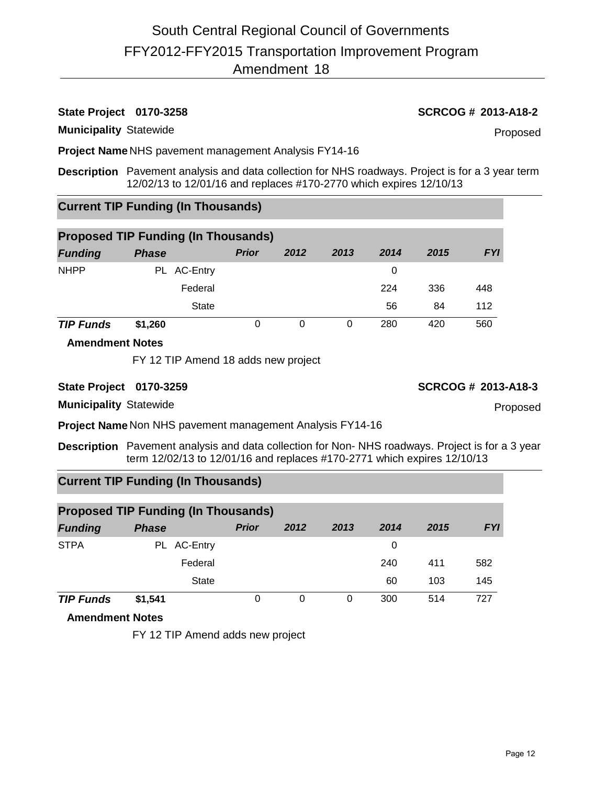### **State Project 0170-3258 SCRCOG # 2013-A18-2**

**Municipality** Statewide

Proposed

**Project Name** NHS pavement management Analysis FY14-16

**Description** Pavement analysis and data collection for NHS roadways. Project is for a 3 year term 12/02/13 to 12/01/16 and replaces #170-2770 which expires 12/10/13

### **Current TIP Funding (In Thousands)**

| <b>Proposed TIP Funding (In Thousands)</b> |              |              |      |      |      |      |            |  |  |
|--------------------------------------------|--------------|--------------|------|------|------|------|------------|--|--|
| <b>Funding</b>                             | <b>Phase</b> | <b>Prior</b> | 2012 | 2013 | 2014 | 2015 | <b>FYI</b> |  |  |
| <b>NHPP</b>                                | PL AC-Entry  |              |      |      | 0    |      |            |  |  |
|                                            | Federal      |              |      |      | 224  | 336  | 448        |  |  |
|                                            | State        |              |      |      | 56   | 84   | 112        |  |  |
| <b>TIP Funds</b>                           | \$1,260      | 0            | 0    | 0    | 280  | 420  | 560        |  |  |

#### **Amendment Notes**

FY 12 TIP Amend 18 adds new project

**State Project 0170-3259 SCRCOG # 2013-A18-3**

**Municipality** Statewide

**Project Name** Non NHS pavement management Analysis FY14-16

**Description** Pavement analysis and data collection for Non- NHS roadways. Project is for a 3 year term 12/02/13 to 12/01/16 and replaces #170-2771 which expires 12/10/13

#### **Current TIP Funding (In Thousands)**

| <b>Proposed TIP Funding (In Thousands)</b> |              |              |          |      |      |      |            |  |  |
|--------------------------------------------|--------------|--------------|----------|------|------|------|------------|--|--|
| <b>Funding</b>                             | <b>Phase</b> | <b>Prior</b> | 2012     | 2013 | 2014 | 2015 | <b>FYI</b> |  |  |
| <b>STPA</b>                                | PL AC-Entry  |              |          |      | 0    |      |            |  |  |
|                                            | Federal      |              |          |      | 240  | 411  | 582        |  |  |
|                                            | <b>State</b> |              |          |      | 60   | 103  | 145        |  |  |
| <b>TIP Funds</b>                           | \$1,541      | 0            | $\Omega$ | 0    | 300  | 514  | 727        |  |  |

**Amendment Notes**

FY 12 TIP Amend adds new project

Proposed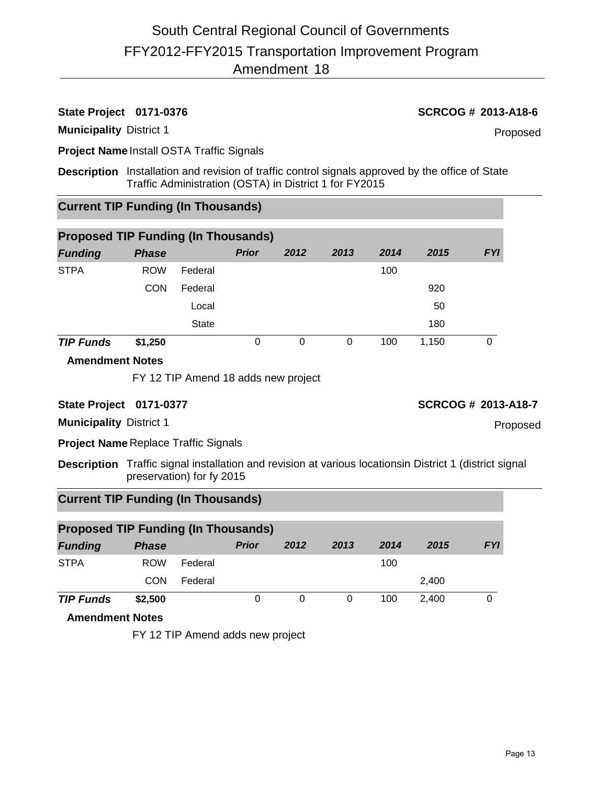#### **State Project 0171-0376 SCRCOG # 2013-A18-6**

**Municipality** District 1

Proposed

**Project Name** Install OSTA Traffic Signals

**Description** Installation and revision of traffic control signals approved by the office of State Traffic Administration (OSTA) in District 1 for FY2015

### **Current TIP Funding (In Thousands)**

| <b>Proposed TIP Funding (In Thousands)</b> |              |              |              |      |      |      |       |            |  |  |  |
|--------------------------------------------|--------------|--------------|--------------|------|------|------|-------|------------|--|--|--|
| <b>Funding</b>                             | <b>Phase</b> |              | <b>Prior</b> | 2012 | 2013 | 2014 | 2015  | <b>FYI</b> |  |  |  |
| <b>STPA</b>                                | <b>ROW</b>   | Federal      |              |      |      | 100  |       |            |  |  |  |
|                                            | <b>CON</b>   | Federal      |              |      |      |      | 920   |            |  |  |  |
|                                            |              | Local        |              |      |      |      | 50    |            |  |  |  |
|                                            |              | <b>State</b> |              |      |      |      | 180   |            |  |  |  |
| <b>TIP Funds</b>                           | \$1,250      |              | 0            | 0    | 0    | 100  | 1,150 | 0          |  |  |  |

#### **Amendment Notes**

FY 12 TIP Amend 18 adds new project

#### **State Project 0171-0377 SCRCOG # 2013-A18-7**

Proposed

**Municipality** District 1

**Project Name** Replace Traffic Signals

**Description** Traffic signal installation and revision at various locationsin District 1 (district signal preservation) for fy 2015

#### **Current TIP Funding (In Thousands)**

| <b>Proposed TIP Funding (In Thousands)</b> |              |         |              |      |      |      |       |            |  |
|--------------------------------------------|--------------|---------|--------------|------|------|------|-------|------------|--|
| <b>Funding</b>                             | <b>Phase</b> |         | <b>Prior</b> | 2012 | 2013 | 2014 | 2015  | <b>FYI</b> |  |
| <b>STPA</b>                                | <b>ROW</b>   | Federal |              |      |      | 100  |       |            |  |
|                                            | CON          | Federal |              |      |      |      | 2,400 |            |  |
| <b>TIP Funds</b>                           | \$2,500      |         | 0            | 0    | 0    | 100  | 2.400 |            |  |

#### **Amendment Notes**

FY 12 TIP Amend adds new project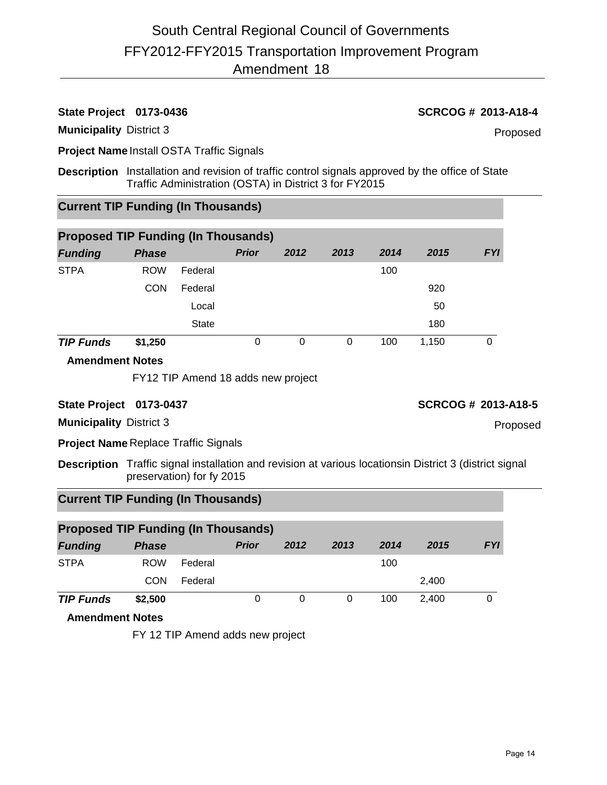#### **State Project 0173-0436 SCRCOG # 2013-A18-4**

**Municipality** District 3

Proposed

**Project Name** Install OSTA Traffic Signals

**Description** Installation and revision of traffic control signals approved by the office of State Traffic Administration (OSTA) in District 3 for FY2015

### **Current TIP Funding (In Thousands)**

| <b>Proposed TIP Funding (In Thousands)</b> |              |              |              |      |      |      |       |            |  |
|--------------------------------------------|--------------|--------------|--------------|------|------|------|-------|------------|--|
| <b>Funding</b>                             | <b>Phase</b> |              | <b>Prior</b> | 2012 | 2013 | 2014 | 2015  | <b>FYI</b> |  |
| <b>STPA</b>                                | <b>ROW</b>   | Federal      |              |      |      | 100  |       |            |  |
|                                            | <b>CON</b>   | Federal      |              |      |      |      | 920   |            |  |
|                                            |              | Local        |              |      |      |      | 50    |            |  |
|                                            |              | <b>State</b> |              |      |      |      | 180   |            |  |
| <b>TIP Funds</b>                           | \$1,250      |              | 0            | 0    | 0    | 100  | 1,150 | 0          |  |

#### **Amendment Notes**

FY12 TIP Amend 18 adds new project

#### **State Project 0173-0437 SCRCOG # 2013-A18-5**

Proposed

**Municipality** District 3

**Project Name** Replace Traffic Signals

**Description** Traffic signal installation and revision at various locationsin District 3 (district signal preservation) for fy 2015

#### **Current TIP Funding (In Thousands)**

| <b>Proposed TIP Funding (In Thousands)</b> |              |         |              |      |      |      |       |            |  |
|--------------------------------------------|--------------|---------|--------------|------|------|------|-------|------------|--|
| <b>Funding</b>                             | <b>Phase</b> |         | <b>Prior</b> | 2012 | 2013 | 2014 | 2015  | <b>FYI</b> |  |
| <b>STPA</b>                                | <b>ROW</b>   | Federal |              |      |      | 100  |       |            |  |
|                                            | CON          | Federal |              |      |      |      | 2,400 |            |  |
| <b>TIP Funds</b>                           | \$2,500      |         | 0            | 0    | 0    | 100  | 2.400 |            |  |

#### **Amendment Notes**

FY 12 TIP Amend adds new project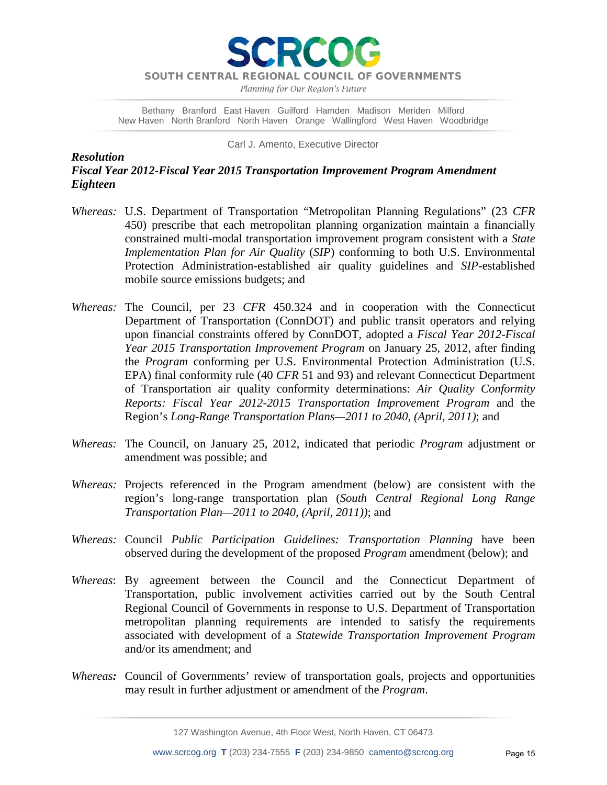**RCO** 

*Planning for Our Region's Future*

Bethany Branford East Haven Guilford Hamden Madison Meriden Milford New Haven North Branford North Haven Orange Wallingford West Haven Woodbridge

Carl J. Amento, Executive Director

*Resolution Fiscal Year 2012-Fiscal Year 2015 Transportation Improvement Program Amendment Eighteen*

- *Whereas:* U.S. Department of Transportation "Metropolitan Planning Regulations" (23 *CFR* 450) prescribe that each metropolitan planning organization maintain a financially constrained multi-modal transportation improvement program consistent with a *State Implementation Plan for Air Quality* (*SIP*) conforming to both U.S. Environmental Protection Administration-established air quality guidelines and *SIP*-established mobile source emissions budgets; and
- *Whereas:* The Council, per 23 *CFR* 450.324 and in cooperation with the Connecticut Department of Transportation (ConnDOT) and public transit operators and relying upon financial constraints offered by ConnDOT, adopted a *Fiscal Year 2012-Fiscal Year 2015 Transportation Improvement Program* on January 25, 2012, after finding the *Program* conforming per U.S. Environmental Protection Administration (U.S. EPA) final conformity rule (40 *CFR* 51 and 93) and relevant Connecticut Department of Transportation air quality conformity determinations: *Air Quality Conformity Reports: Fiscal Year 2012-2015 Transportation Improvement Program* and the Region's *Long-Range Transportation Plans—2011 to 2040, (April, 2011)*; and
- *Whereas:* The Council, on January 25, 2012, indicated that periodic *Program* adjustment or amendment was possible; and
- *Whereas:* Projects referenced in the Program amendment (below) are consistent with the region's long-range transportation plan (*South Central Regional Long Range Transportation Plan—2011 to 2040, (April, 2011))*; and
- *Whereas:* Council *Public Participation Guidelines: Transportation Planning* have been observed during the development of the proposed *Program* amendment (below); and
- *Whereas*: By agreement between the Council and the Connecticut Department of Transportation, public involvement activities carried out by the South Central Regional Council of Governments in response to U.S. Department of Transportation metropolitan planning requirements are intended to satisfy the requirements associated with development of a *Statewide Transportation Improvement Program* and/or its amendment; and
- *Whereas:* Council of Governments' review of transportation goals, projects and opportunities may result in further adjustment or amendment of the *Program*.

127 Washington Avenue, 4th Floor West, North Haven, CT 06473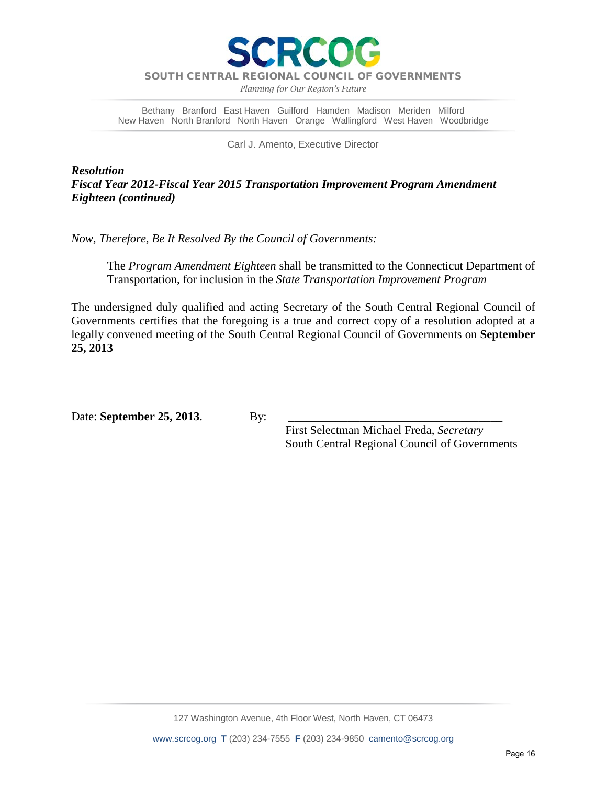

*Planning for Our Region's Future*

Bethany Branford East Haven Guilford Hamden Madison Meriden Milford New Haven North Branford North Haven Orange Wallingford West Haven Woodbridge

Carl J. Amento, Executive Director

*Resolution Fiscal Year 2012-Fiscal Year 2015 Transportation Improvement Program Amendment Eighteen (continued)*

*Now, Therefore, Be It Resolved By the Council of Governments:*

The *Program Amendment Eighteen* shall be transmitted to the Connecticut Department of Transportation, for inclusion in the *State Transportation Improvement Program*

The undersigned duly qualified and acting Secretary of the South Central Regional Council of Governments certifies that the foregoing is a true and correct copy of a resolution adopted at a legally convened meeting of the South Central Regional Council of Governments on **September 25, 2013**

Date: **September 25, 2013**. By:

 First Selectman Michael Freda, *Secretary* South Central Regional Council of Governments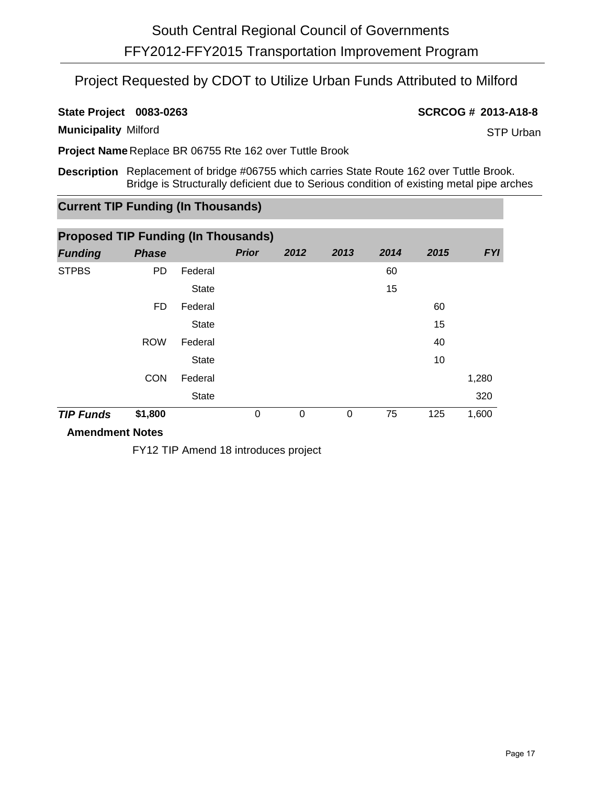## Project Requested by CDOT to Utilize Urban Funds Attributed to Milford

**State Project 0083-0263 SCRCOG # 2013-A18-8**

**Municipality** Milford

STP Urban

**Project Name** Replace BR 06755 Rte 162 over Tuttle Brook

**Description** Replacement of bridge #06755 which carries State Route 162 over Tuttle Brook. Bridge is Structurally deficient due to Serious condition of existing metal pipe arches

### **Current TIP Funding (In Thousands)**

| <b>Proposed TIP Funding (In Thousands)</b> |              |              |              |          |      |      |      |            |  |
|--------------------------------------------|--------------|--------------|--------------|----------|------|------|------|------------|--|
| <b>Funding</b>                             | <b>Phase</b> |              | <b>Prior</b> | 2012     | 2013 | 2014 | 2015 | <b>FYI</b> |  |
| <b>STPBS</b>                               | <b>PD</b>    | Federal      |              |          |      | 60   |      |            |  |
|                                            |              | <b>State</b> |              |          |      | 15   |      |            |  |
|                                            | FD           | Federal      |              |          |      |      | 60   |            |  |
|                                            |              | <b>State</b> |              |          |      |      | 15   |            |  |
|                                            | <b>ROW</b>   | Federal      |              |          |      |      | 40   |            |  |
|                                            |              | <b>State</b> |              |          |      |      | 10   |            |  |
|                                            | <b>CON</b>   | Federal      |              |          |      |      |      | 1,280      |  |
|                                            |              | <b>State</b> |              |          |      |      |      | 320        |  |
| <b>TIP Funds</b>                           | \$1,800      |              | 0            | $\Omega$ | 0    | 75   | 125  | 1,600      |  |

#### **Amendment Notes**

FY12 TIP Amend 18 introduces project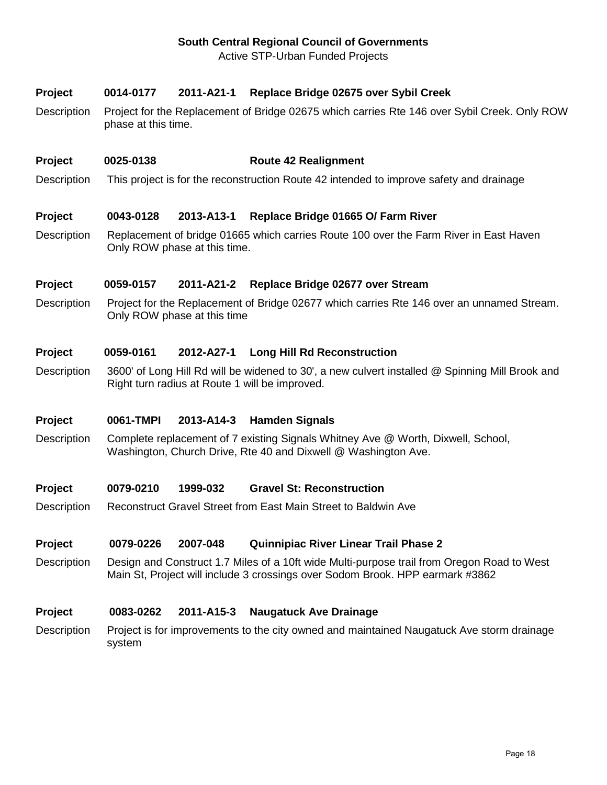#### **South Central Regional Council of Governments**

Active STP-Urban Funded Projects

#### **Project 0014-0177 2011-A21-1 Replace Bridge 02675 over Sybil Creek**

Description Project for the Replacement of Bridge 02675 which carries Rte 146 over Sybil Creek. Only ROW phase at this time.

#### **Project 0025-0138 Route 42 Realignment**

Description This project is for the reconstruction Route 42 intended to improve safety and drainage

#### **Project 0043-0128 2013-A13-1 Replace Bridge 01665 O/ Farm River**

Description Replacement of bridge 01665 which carries Route 100 over the Farm River in East Haven Only ROW phase at this time.

#### **Project 0059-0157 2011-A21-2 Replace Bridge 02677 over Stream**

Description Project for the Replacement of Bridge 02677 which carries Rte 146 over an unnamed Stream. Only ROW phase at this time

#### **Project 0059-0161 2012-A27-1 Long Hill Rd Reconstruction**

Description 3600' of Long Hill Rd will be widened to 30', a new culvert installed @ Spinning Mill Brook and Right turn radius at Route 1 will be improved.

#### **Project 0061-TMPI 2013-A14-3 Hamden Signals**

Description Complete replacement of 7 existing Signals Whitney Ave @ Worth, Dixwell, School, Washington, Church Drive, Rte 40 and Dixwell @ Washington Ave.

#### **Project 0079-0210 1999-032 Gravel St: Reconstruction**

Description Reconstruct Gravel Street from East Main Street to Baldwin Ave

#### **Project 0079-0226 2007-048 Quinnipiac River Linear Trail Phase 2**

Description Design and Construct 1.7 Miles of a 10ft wide Multi-purpose trail from Oregon Road to West Main St, Project will include 3 crossings over Sodom Brook. HPP earmark #3862

#### **Project 0083-0262 2011-A15-3 Naugatuck Ave Drainage**

Description Project is for improvements to the city owned and maintained Naugatuck Ave storm drainage system